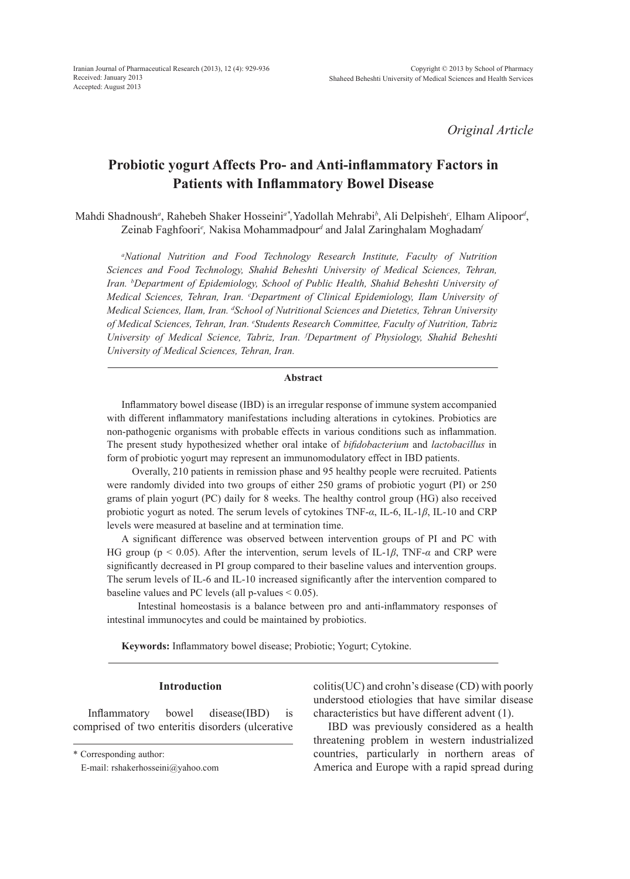*Original Article*

# **Probiotic yogurt Affects Pro- and Anti-inflammatory Factors in Patients with Inflammatory Bowel Disease**

Mahdi Shadnoush*<sup>a</sup>* , Rahebeh Shaker Hosseini*a\*,*Yadollah Mehrabi*<sup>b</sup>* , Ali Delpisheh*<sup>c</sup> ,* Elham Alipoor*<sup>d</sup>* , Zeinab Faghfoori<sup>e</sup>, Nakisa Mohammadpour<sup>d</sup> and Jalal Zaringhalam Moghadam<sup>,</sup>

*a National Nutrition and Food Technology Research Institute, Faculty of Nutrition Sciences and Food Technology, Shahid Beheshti University of Medical Sciences, Tehran, Iran. b Department of Epidemiology, School of Public Health, Shahid Beheshti University of Medical Sciences, Tehran, Iran. c Department of Clinical Epidemiology, Ilam University of Medical Sciences, Ilam, Iran. d School of Nutritional Sciences and Dietetics, Tehran University of Medical Sciences, Tehran, Iran. <sup>e</sup> Students Research Committee, Faculty of Nutrition, Tabriz University of Medical Science, Tabriz, Iran. f Department of Physiology, Shahid Beheshti University of Medical Sciences, Tehran, Iran.*

#### **Abstract**

Inflammatory bowel disease (IBD) is an irregular response of immune system accompanied with different inflammatory manifestations including alterations in cytokines. Probiotics are non-pathogenic organisms with probable effects in various conditions such as inflammation. The present study hypothesized whether oral intake of *bifidobacterium* and *lactobacillus* in form of probiotic yogurt may represent an immunomodulatory effect in IBD patients.

 Overally, 210 patients in remission phase and 95 healthy people were recruited. Patients were randomly divided into two groups of either 250 grams of probiotic yogurt (PI) or 250 grams of plain yogurt (PC) daily for 8 weeks. The healthy control group (HG) also received probiotic yogurt as noted. The serum levels of cytokines TNF-*α*, IL-6, IL-1*β*, IL-10 and CRP levels were measured at baseline and at termination time.

A significant difference was observed between intervention groups of PI and PC with HG group (p < 0.05). After the intervention, serum levels of IL-1*β*, TNF-*α* and CRP were significantly decreased in PI group compared to their baseline values and intervention groups. The serum levels of IL-6 and IL-10 increased significantly after the intervention compared to baseline values and PC levels (all p-values < 0.05).

 Intestinal homeostasis is a balance between pro and anti-inflammatory responses of intestinal immunocytes and could be maintained by probiotics.

**Keywords:** Inflammatory bowel disease; Probiotic; Yogurt; Cytokine.

## **Introduction**

Inflammatory bowel disease(IBD) is comprised of two enteritis disorders (ulcerative

\* Corresponding author:

colitis(UC) and crohn's disease (CD) with poorly understood etiologies that have similar disease characteristics but have different advent (1).

IBD was previously considered as a health threatening problem in western industrialized countries, particularly in northern areas of America and Europe with a rapid spread during

E-mail: rshakerhosseini@yahoo.com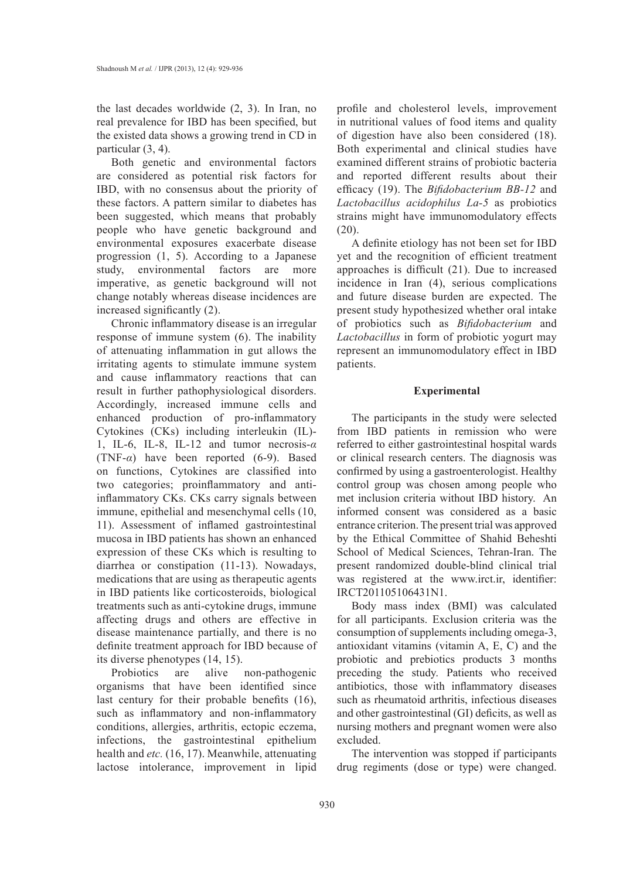the last decades worldwide (2, 3). In Iran, no real prevalence for IBD has been specified, but the existed data shows a growing trend in CD in particular (3, 4).

Both genetic and environmental factors are considered as potential risk factors for IBD, with no consensus about the priority of these factors. A pattern similar to diabetes has been suggested, which means that probably people who have genetic background and environmental exposures exacerbate disease progression (1, 5). According to a Japanese study, environmental factors are more imperative, as genetic background will not change notably whereas disease incidences are increased significantly (2).

Chronic inflammatory disease is an irregular response of immune system (6). The inability of attenuating inflammation in gut allows the irritating agents to stimulate immune system and cause inflammatory reactions that can result in further pathophysiological disorders. Accordingly, increased immune cells and enhanced production of pro-inflammatory Cytokines (CKs) including interleukin (IL)- 1, IL-6, IL-8, IL-12 and tumor necrosis-*α* (TNF-*α*) have been reported (6-9). Based on functions, Cytokines are classified into two categories; proinflammatory and antiinflammatory CKs. CKs carry signals between immune, epithelial and mesenchymal cells (10, 11). Assessment of inflamed gastrointestinal mucosa in IBD patients has shown an enhanced expression of these CKs which is resulting to diarrhea or constipation (11-13). Nowadays, medications that are using as therapeutic agents in IBD patients like corticosteroids, biological treatments such as anti-cytokine drugs, immune affecting drugs and others are effective in disease maintenance partially, and there is no definite treatment approach for IBD because of its diverse phenotypes (14, 15).

Probiotics are alive non-pathogenic organisms that have been identified since last century for their probable benefits (16), such as inflammatory and non-inflammatory conditions, allergies, arthritis, ectopic eczema, infections, the gastrointestinal epithelium health and *etc.* (16, 17). Meanwhile, attenuating lactose intolerance, improvement in lipid profile and cholesterol levels, improvement in nutritional values of food items and quality of digestion have also been considered (18). Both experimental and clinical studies have examined different strains of probiotic bacteria and reported different results about their efficacy (19). The *Bifidobacterium BB-12* and *Lactobacillus acidophilus La-5* as probiotics strains might have immunomodulatory effects  $(20)$ .

A definite etiology has not been set for IBD yet and the recognition of efficient treatment approaches is difficult (21). Due to increased incidence in Iran (4), serious complications and future disease burden are expected. The present study hypothesized whether oral intake of probiotics such as *Bifidobacterium* and *Lactobacillus* in form of probiotic yogurt may represent an immunomodulatory effect in IBD patients.

### **Experimental**

The participants in the study were selected from IBD patients in remission who were referred to either gastrointestinal hospital wards or clinical research centers. The diagnosis was confirmed by using a gastroenterologist. Healthy control group was chosen among people who met inclusion criteria without IBD history. An informed consent was considered as a basic entrance criterion. The present trial was approved by the Ethical Committee of Shahid Beheshti School of Medical Sciences, Tehran-Iran. The present randomized double-blind clinical trial was registered at the www.irct.ir, identifier: IRCT201105106431N1.

Body mass index (BMI) was calculated for all participants. Exclusion criteria was the consumption of supplements including omega-3, antioxidant vitamins (vitamin A, E, C) and the probiotic and prebiotics products 3 months preceding the study. Patients who received antibiotics, those with inflammatory diseases such as rheumatoid arthritis, infectious diseases and other gastrointestinal (GI) deficits, as well as nursing mothers and pregnant women were also excluded.

The intervention was stopped if participants drug regiments (dose or type) were changed.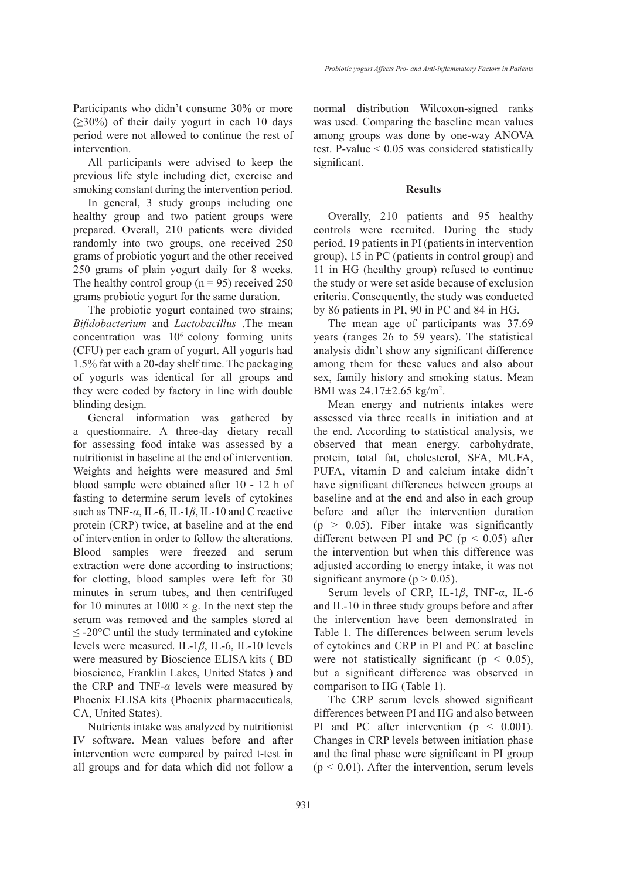Participants who didn't consume 30% or more  $(\geq 30\%)$  of their daily yogurt in each 10 days period were not allowed to continue the rest of intervention.

All participants were advised to keep the previous life style including diet, exercise and smoking constant during the intervention period.

In general, 3 study groups including one healthy group and two patient groups were prepared. Overall, 210 patients were divided randomly into two groups, one received 250 grams of probiotic yogurt and the other received 250 grams of plain yogurt daily for 8 weeks. The healthy control group ( $n = 95$ ) received 250 grams probiotic yogurt for the same duration.

The probiotic yogurt contained two strains; *Bifidobacterium* and *Lactobacillus* .The mean concentration was  $10<sup>6</sup>$  colony forming units (CFU) per each gram of yogurt. All yogurts had 1.5% fat with a 20-day shelf time. The packaging of yogurts was identical for all groups and they were coded by factory in line with double blinding design.

General information was gathered by a questionnaire. A three-day dietary recall for assessing food intake was assessed by a nutritionist in baseline at the end of intervention. Weights and heights were measured and 5ml blood sample were obtained after 10 - 12 h of fasting to determine serum levels of cytokines such as TNF-*α*, IL-6, IL-1*β*, IL-10 and C reactive protein (CRP) twice, at baseline and at the end of intervention in order to follow the alterations. Blood samples were freezed and serum extraction were done according to instructions; for clotting, blood samples were left for 30 minutes in serum tubes, and then centrifuged for 10 minutes at  $1000 \times g$ . In the next step the serum was removed and the samples stored at  $\leq$  -20 $^{\circ}$ C until the study terminated and cytokine levels were measured. IL-1*β*, IL-6, IL-10 levels were measured by Bioscience ELISA kits ( BD bioscience, Franklin Lakes, United States ) and the CRP and TNF-*α* levels were measured by Phoenix ELISA kits (Phoenix pharmaceuticals, CA, United States).

Nutrients intake was analyzed by nutritionist IV software. Mean values before and after intervention were compared by paired t-test in all groups and for data which did not follow a

normal distribution Wilcoxon-signed ranks was used. Comparing the baseline mean values among groups was done by one-way ANOVA test. P-value  $\leq 0.05$  was considered statistically significant.

### **Results**

Overally, 210 patients and 95 healthy controls were recruited. During the study period, 19 patients in PI (patients in intervention group), 15 in PC (patients in control group) and 11 in HG (healthy group) refused to continue the study or were set aside because of exclusion criteria. Consequently, the study was conducted by 86 patients in PI, 90 in PC and 84 in HG.

The mean age of participants was 37.69 years (ranges 26 to 59 years). The statistical analysis didn't show any significant difference among them for these values and also about sex, family history and smoking status. Mean BMI was 24.17±2.65 kg/m<sup>2</sup>.

Mean energy and nutrients intakes were assessed via three recalls in initiation and at the end. According to statistical analysis, we observed that mean energy, carbohydrate, protein, total fat, cholesterol, SFA, MUFA, PUFA, vitamin D and calcium intake didn't have significant differences between groups at baseline and at the end and also in each group before and after the intervention duration  $(p > 0.05)$ . Fiber intake was significantly different between PI and PC ( $p < 0.05$ ) after the intervention but when this difference was adjusted according to energy intake, it was not significant anymore ( $p > 0.05$ ).

Serum levels of CRP, IL-1*β*, TNF-*α*, IL-6 and IL-10 in three study groups before and after the intervention have been demonstrated in Table 1. The differences between serum levels of cytokines and CRP in PI and PC at baseline were not statistically significant ( $p < 0.05$ ), but a significant difference was observed in comparison to HG (Table 1).

The CRP serum levels showed significant differences between PI and HG and also between PI and PC after intervention  $(p < 0.001)$ . Changes in CRP levels between initiation phase and the final phase were significant in PI group  $(p < 0.01)$ . After the intervention, serum levels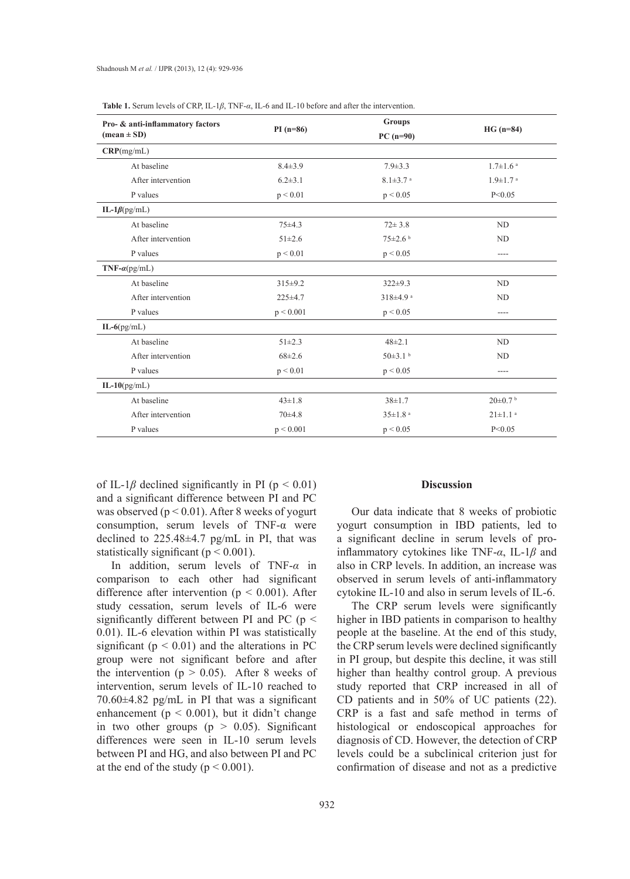| Pro- & anti-inflammatory factors<br>$(\text{mean} \pm \text{SD})$ | $PI(n=86)$    | <b>Groups</b><br>$PC(n=90)$ | $HG (n=84)$                |
|-------------------------------------------------------------------|---------------|-----------------------------|----------------------------|
|                                                                   |               |                             |                            |
| At baseline                                                       | $8.4 \pm 3.9$ | $7.9 \pm 3.3$               | $1.7 \pm 1.6$ <sup>a</sup> |
| After intervention                                                | $6.2 \pm 3.1$ | $8.1 \pm 3.7$ <sup>a</sup>  | $1.9 \pm 1.7$ <sup>a</sup> |
| P values                                                          | p < 0.01      | p < 0.05                    | P < 0.05                   |
| IL-1 $\beta$ (pg/mL)                                              |               |                             |                            |
| At baseline                                                       | $75+4.3$      | $72 \pm 3.8$                | ND                         |
| After intervention                                                | $51 \pm 2.6$  | $75 \pm 2.6$                | <b>ND</b>                  |
| P values                                                          | p < 0.01      | p < 0.05                    | ----                       |
| $TNF-\alpha(pg/mL)$                                               |               |                             |                            |
| At baseline                                                       | $315 \pm 9.2$ | $322 \pm 9.3$               | <b>ND</b>                  |
| After intervention                                                | $225 \pm 4.7$ | $318\pm4.9$ <sup>a</sup>    | <b>ND</b>                  |
| P values                                                          | p < 0.001     | p < 0.05                    | $- - - -$                  |
| $IL-6(pg/mL)$                                                     |               |                             |                            |
| At baseline                                                       | $51 \pm 2.3$  | $48\pm2.1$                  | ND                         |
| After intervention                                                | $68 \pm 2.6$  | $50\pm3.1$ b                | <b>ND</b>                  |
| P values                                                          | p < 0.01      | p < 0.05                    | $- - - -$                  |
| IL- $10$ (pg/mL)                                                  |               |                             |                            |
| At baseline                                                       | $43 \pm 1.8$  | $38 \pm 1.7$                | $20\pm0.7$ b               |
| After intervention                                                | $70+4.8$      | $35 \pm 1.8$ <sup>a</sup>   | $21 \pm 1.1$ <sup>a</sup>  |
| P values                                                          | p < 0.001     | p < 0.05                    | P < 0.05                   |

|  | <b>Table 1.</b> Serum levels of CRP, IL-1 $\beta$ , TNF- $\alpha$ , IL-6 and IL-10 before and after the intervention. |
|--|-----------------------------------------------------------------------------------------------------------------------|
|--|-----------------------------------------------------------------------------------------------------------------------|

of IL-1 $\beta$  declined significantly in PI ( $p < 0.01$ ) and a significant difference between PI and PC was observed ( $p < 0.01$ ). After 8 weeks of yogurt consumption, serum levels of TNF-α were declined to 225.48±4.7 pg/mL in PI, that was statistically significant ( $p < 0.001$ ).

In addition, serum levels of TNF-*α* in comparison to each other had significant difference after intervention ( $p < 0.001$ ). After study cessation, serum levels of IL-6 were significantly different between PI and PC ( $p \le$ 0.01). IL-6 elevation within PI was statistically significant ( $p < 0.01$ ) and the alterations in PC group were not significant before and after the intervention ( $p > 0.05$ ). After 8 weeks of intervention, serum levels of IL-10 reached to 70.60±4.82 pg/mL in PI that was a significant enhancement ( $p < 0.001$ ), but it didn't change in two other groups  $(p > 0.05)$ . Significant differences were seen in IL-10 serum levels between PI and HG, and also between PI and PC at the end of the study ( $p < 0.001$ ).

#### **Discussion**

Our data indicate that 8 weeks of probiotic yogurt consumption in IBD patients, led to a significant decline in serum levels of proinflammatory cytokines like TNF-*α*, IL-1*β* and also in CRP levels. In addition, an increase was observed in serum levels of anti-inflammatory cytokine IL-10 and also in serum levels of IL-6.

The CRP serum levels were significantly higher in IBD patients in comparison to healthy people at the baseline. At the end of this study, the CRP serum levels were declined significantly in PI group, but despite this decline, it was still higher than healthy control group. A previous study reported that CRP increased in all of CD patients and in 50% of UC patients (22). CRP is a fast and safe method in terms of histological or endoscopical approaches for diagnosis of CD. However, the detection of CRP levels could be a subclinical criterion just for confirmation of disease and not as a predictive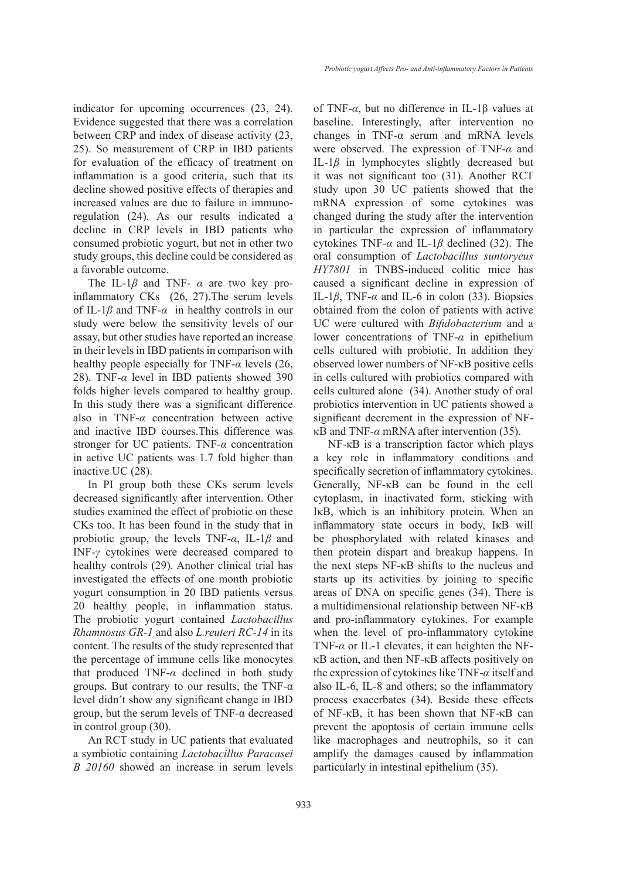indicator for upcoming occurrences (23, 24). Evidence suggested that there was a correlation between CRP and index of disease activity (23, 25). So measurement of CRP in IBD patients for evaluation of the efficacy of treatment on inflammation is a good criteria, such that its decline showed positive effects of therapies and increased values are due to failure in immunoregulation (24). As our results indicated a decline in CRP levels in IBD patients who consumed probiotic yogurt, but not in other two study groups, this decline could be considered as a favorable outcome.

The IL-1*β* and TNF- *α* are two key proinflammatory CKs (26, 27).The serum levels of IL-1*β* and TNF-*α* in healthy controls in our study were below the sensitivity levels of our assay, but other studies have reported an increase in their levels in IBD patients in comparison with healthy people especially for TNF-*α* levels (26, 28). TNF-*α* level in IBD patients showed 390 folds higher levels compared to healthy group. In this study there was a significant difference also in TNF-*α* concentration between active and inactive IBD courses.This difference was stronger for UC patients. TNF-*α* concentration in active UC patients was 1.7 fold higher than inactive UC (28).

In PI group both these CKs serum levels decreased significantly after intervention. Other studies examined the effect of probiotic on these CKs too. It has been found in the study that in probiotic group, the levels TNF-*α*, IL-1*β* and INF-*γ* cytokines were decreased compared to healthy controls (29). Another clinical trial has investigated the effects of one month probiotic yogurt consumption in 20 IBD patients versus 20 healthy people, in inflammation status. The probiotic yogurt contained *Lactobacillus Rhamnosus GR-1* and also *L.reuteri RC-14* in its content. The results of the study represented that the percentage of immune cells like monocytes that produced TNF-*α* declined in both study groups. But contrary to our results, the TNF- $\alpha$ level didn't show any significant change in IBD group, but the serum levels of TNF-α decreased in control group (30).

An RCT study in UC patients that evaluated a symbiotic containing *Lactobacillus Paracasei B 20160* showed an increase in serum levels of TNF-*α*, but no difference in IL-1β values at baseline. Interestingly, after intervention no changes in TNF- $\alpha$  serum and mRNA levels were observed. The expression of TNF-*α* and IL-1*β* in lymphocytes slightly decreased but it was not significant too (31). Another RCT study upon 30 UC patients showed that the mRNA expression of some cytokines was changed during the study after the intervention in particular the expression of inflammatory cytokines TNF-*α* and IL-1*β* declined (32). The oral consumption of *Lactobacillus suntoryeus HY7801* in TNBS-induced colitic mice has caused a significant decline in expression of IL-1*β*, TNF-*α* and IL-6 in colon (33). Biopsies obtained from the colon of patients with active UC were cultured with *Bifidobacterium* and a lower concentrations of TNF-*α* in epithelium cells cultured with probiotic. In addition they observed lower numbers of NF-κB positive cells in cells cultured with probiotics compared with cells cultured alone (34). Another study of oral probiotics intervention in UC patients showed a significant decrement in the expression of NFκB and TNF-*α* mRNA after intervention (35).

NF-κB is a transcription factor which plays a key role in inflammatory conditions and specifically secretion of inflammatory cytokines. Generally, NF-κB can be found in the cell cytoplasm, in inactivated form, sticking with IκB, which is an inhibitory protein. When an inflammatory state occurs in body, IκB will be phosphorylated with related kinases and then protein dispart and breakup happens. In the next steps NF-κB shifts to the nucleus and starts up its activities by joining to specific areas of DNA on specific genes (34). There is a multidimensional relationship between NF-κB and pro-inflammatory cytokines. For example when the level of pro-inflammatory cytokine TNF-*α* or IL-1 elevates, it can heighten the NFκB action, and then NF-κB affects positively on the expression of cytokines like TNF-*α* itself and also IL-6, IL-8 and others; so the inflammatory process exacerbates (34). Beside these effects of NF-κB, it has been shown that NF-κB can prevent the apoptosis of certain immune cells like macrophages and neutrophils, so it can amplify the damages caused by inflammation particularly in intestinal epithelium (35).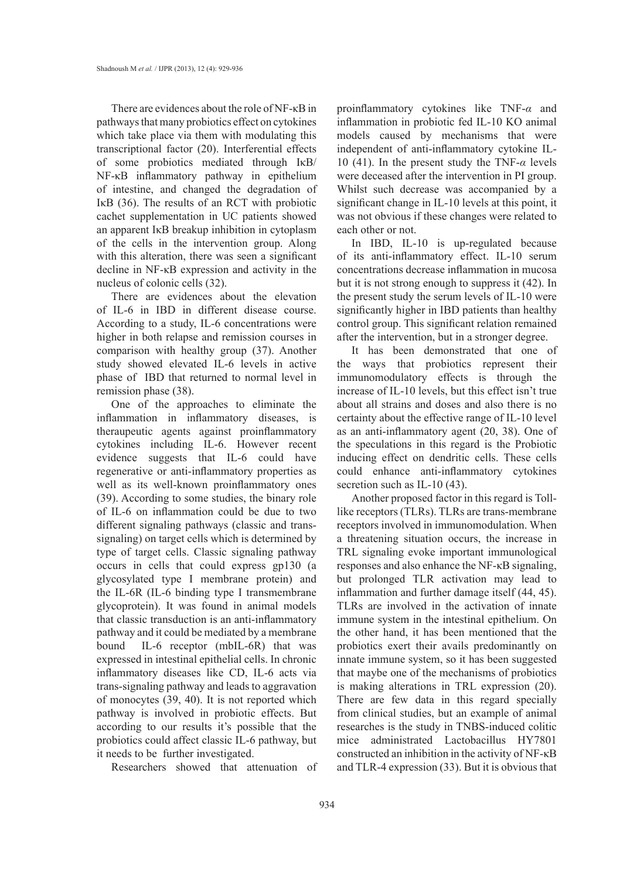There are evidences about the role of NF-κB in pathways that many probiotics effect on cytokines which take place via them with modulating this transcriptional factor (20). Interferential effects of some probiotics mediated through IκB/ NF-κB inflammatory pathway in epithelium of intestine, and changed the degradation of IκB (36). The results of an RCT with probiotic cachet supplementation in UC patients showed an apparent IκB breakup inhibition in cytoplasm of the cells in the intervention group. Along with this alteration, there was seen a significant decline in NF-κB expression and activity in the nucleus of colonic cells (32).

There are evidences about the elevation of IL-6 in IBD in different disease course. According to a study, IL-6 concentrations were higher in both relapse and remission courses in comparison with healthy group (37). Another study showed elevated IL-6 levels in active phase of IBD that returned to normal level in remission phase (38).

One of the approaches to eliminate the inflammation in inflammatory diseases, is theraupeutic agents against proinflammatory cytokines including IL-6. However recent evidence suggests that IL-6 could have regenerative or anti-inflammatory properties as well as its well-known proinflammatory ones (39). According to some studies, the binary role of IL-6 on inflammation could be due to two different signaling pathways (classic and transsignaling) on target cells which is determined by type of target cells. Classic signaling pathway occurs in cells that could express gp130 (a glycosylated type I membrane protein) and the IL-6R (IL-6 binding type I transmembrane glycoprotein). It was found in animal models that classic transduction is an anti-inflammatory pathway and it could be mediated by a membrane bound IL-6 receptor (mbIL-6R) that was expressed in intestinal epithelial cells. In chronic inflammatory diseases like CD, IL-6 acts via trans-signaling pathway and leads to aggravation of monocytes (39, 40). It is not reported which pathway is involved in probiotic effects. But according to our results it's possible that the probiotics could affect classic IL-6 pathway, but it needs to be further investigated.

Researchers showed that attenuation of

proinflammatory cytokines like TNF-*α* and inflammation in probiotic fed IL-10 KO animal models caused by mechanisms that were independent of anti-inflammatory cytokine IL-10 (41). In the present study the TNF-*α* levels were deceased after the intervention in PI group. Whilst such decrease was accompanied by a significant change in IL-10 levels at this point, it was not obvious if these changes were related to each other or not.

In IBD, IL-10 is up-regulated because of its anti-inflammatory effect. IL-10 serum concentrations decrease inflammation in mucosa but it is not strong enough to suppress it (42). In the present study the serum levels of IL-10 were significantly higher in IBD patients than healthy control group. This significant relation remained after the intervention, but in a stronger degree.

It has been demonstrated that one of the ways that probiotics represent their immunomodulatory effects is through the increase of IL-10 levels, but this effect isn't true about all strains and doses and also there is no certainty about the effective range of IL-10 level as an anti-inflammatory agent (20, 38). One of the speculations in this regard is the Probiotic inducing effect on dendritic cells. These cells could enhance anti-inflammatory cytokines secretion such as IL-10 (43).

Another proposed factor in this regard is Tolllike receptors (TLRs). TLRs are trans-membrane receptors involved in immunomodulation. When a threatening situation occurs, the increase in TRL signaling evoke important immunological responses and also enhance the NF-κB signaling, but prolonged TLR activation may lead to inflammation and further damage itself (44, 45). TLRs are involved in the activation of innate immune system in the intestinal epithelium. On the other hand, it has been mentioned that the probiotics exert their avails predominantly on innate immune system, so it has been suggested that maybe one of the mechanisms of probiotics is making alterations in TRL expression (20). There are few data in this regard specially from clinical studies, but an example of animal researches is the study in TNBS-induced colitic mice administrated Lactobacillus HY7801 constructed an inhibition in the activity of NF-κB and TLR-4 expression (33). But it is obvious that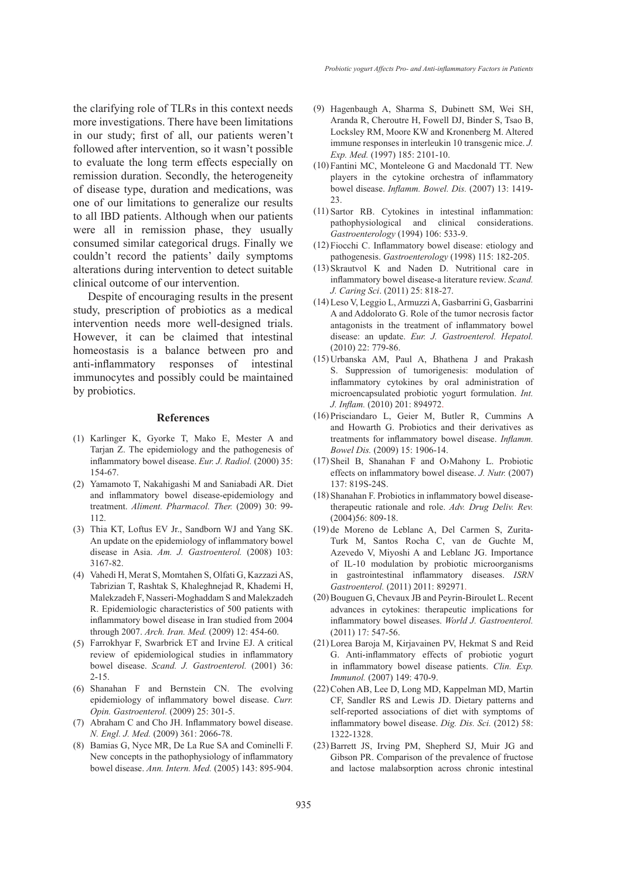the clarifying role of TLRs in this context needs more investigations. There have been limitations in our study; first of all, our patients weren't followed after intervention, so it wasn't possible to evaluate the long term effects especially on remission duration. Secondly, the heterogeneity of disease type, duration and medications, was one of our limitations to generalize our results to all IBD patients. Although when our patients were all in remission phase, they usually consumed similar categorical drugs. Finally we couldn't record the patients' daily symptoms alterations during intervention to detect suitable clinical outcome of our intervention.

Despite of encouraging results in the present study, prescription of probiotics as a medical intervention needs more well-designed trials. However, it can be claimed that intestinal homeostasis is a balance between pro and anti-inflammatory responses of intestinal immunocytes and possibly could be maintained by probiotics.

#### **References**

- (1) Karlinger K, Gyorke T, Mako E, Mester A and Tarjan Z. The epidemiology and the pathogenesis of inflammatory bowel disease. *Eur. J. Radiol.* (2000) 35: 154-67.
- (2) Yamamoto T, Nakahigashi M and Saniabadi AR. Diet and inflammatory bowel disease-epidemiology and treatment. *Aliment. Pharmacol. Ther.* (2009) 30: 99- 112.
- Thia KT, Loftus EV Jr., Sandborn WJ and Yang SK. (3) An update on the epidemiology of inflammatory bowel disease in Asia. *Am. J. Gastroenterol.* (2008) 103: 3167-82.
- Vahedi H, Merat S, Momtahen S, Olfati G, Kazzazi AS, (4) Tabrizian T, Rashtak S, Khaleghnejad R, Khademi H, Malekzadeh F, Nasseri-Moghaddam S and Malekzadeh R. Epidemiologic characteristics of 500 patients with inflammatory bowel disease in Iran studied from 2004 through 2007. *Arch. Iran. Med.* (2009) 12: 454-60.
- Farrokhyar F, Swarbrick ET and Irvine EJ. A critical (5) review of epidemiological studies in inflammatory bowel disease. *Scand. J. Gastroenterol.* (2001) 36: 2-15.
- (6) Shanahan F and Bernstein CN. The evolving epidemiology of inflammatory bowel disease. *Curr. Opin. Gastroenterol.* (2009) 25: 301-5.
- Abraham C and Cho JH. Inflammatory bowel disease. (7) *N. Engl. J. Med.* (2009) 361: 2066-78.
- Bamias G, Nyce MR, De La Rue SA and Cominelli F. (8)New concepts in the pathophysiology of inflammatory bowel disease. *Ann. Intern. Med.* (2005) 143: 895-904.
- Hagenbaugh A, Sharma S, Dubinett SM, Wei SH, (9) Aranda R, Cheroutre H, Fowell DJ, Binder S, Tsao B, Locksley RM, Moore KW and Kronenberg M. Altered immune responses in interleukin 10 transgenic mice. *J. Exp. Med.* (1997) 185: 2101-10.
- Fantini MC, Monteleone G and Macdonald TT. New (10) players in the cytokine orchestra of inflammatory bowel disease. *Inflamm. Bowel. Dis.* (2007) 13: 1419- 23.
- $(11)$  Sartor RB. Cytokines in intestinal inflammation: pathophysiological and clinical considerations. *Gastroenterology* (1994) 106: 533-9.
- Fiocchi C. Inflammatory bowel disease: etiology and (12) pathogenesis. *Gastroenterology* (1998) 115: 182-205.
- $(13)$  Skrautvol K and Naden D. Nutritional care in inflammatory bowel disease-a literature review. *Scand. J. Caring Sci*. (2011) 25: 818-27.
- Leso V, Leggio L, Armuzzi A, Gasbarrini G, Gasbarrini (14) A and Addolorato G. Role of the tumor necrosis factor antagonists in the treatment of inflammatory bowel disease: an update. *Eur. J. Gastroenterol. Hepatol.* (2010) 22: 779-86.
- $(15)$  Urbanska AM, Paul A, Bhathena J and Prakash S. Suppression of tumorigenesis: modulation of inflammatory cytokines by oral administration of microencapsulated probiotic yogurt formulation. *Int. J. Inflam.* (2010) 201: 894972.
- (16) Prisciandaro L, Geier M, Butler R, Cummins A and Howarth G. Probiotics and their derivatives as treatments for inflammatory bowel disease. *Inflamm. Bowel Dis.* (2009) 15: 1906-14.
- $(17)$  Sheil B, Shanahan F and O>Mahony L. Probiotic effects on inflammatory bowel disease. *J. Nutr.* (2007) 137: 819S-24S.
- (18) Shanahan F. Probiotics in inflammatory bowel diseasetherapeutic rationale and role. *Adv. Drug Deliv. Rev.* (2004)56: 809-18.
- (19) de Moreno de Leblanc A, Del Carmen S, Zurita-Turk M, Santos Rocha C, van de Guchte M, Azevedo V, Miyoshi A and Leblanc JG. Importance of IL-10 modulation by probiotic microorganisms in gastrointestinal inflammatory diseases. *ISRN Gastroenterol.* (2011) 2011: 892971.
- (20) Bouguen G, Chevaux JB and Peyrin-Biroulet L. Recent advances in cytokines: therapeutic implications for inflammatory bowel diseases. *World J. Gastroenterol.* (2011) 17: 547-56.
- (21) Lorea Baroja M, Kirjavainen PV, Hekmat S and Reid G. Anti-inflammatory effects of probiotic yogurt in inflammatory bowel disease patients. *Clin. Exp. Immunol.* (2007) 149: 470-9.
- (22) Cohen AB, Lee D, Long MD, Kappelman MD, Martin CF, Sandler RS and Lewis JD. Dietary patterns and self-reported associations of diet with symptoms of inflammatory bowel disease. *Dig. Dis. Sci.* (2012) 58: 1322-1328.
- (23) Barrett JS, Irving PM, Shepherd SJ, Muir JG and Gibson PR. Comparison of the prevalence of fructose and lactose malabsorption across chronic intestinal